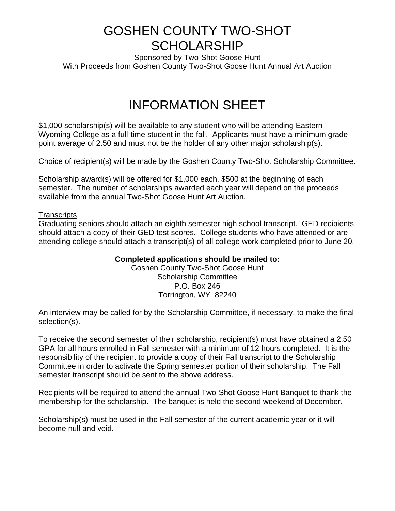## GOSHEN COUNTY TWO-SHOT **SCHOLARSHIP**

Sponsored by Two-Shot Goose Hunt With Proceeds from Goshen County Two-Shot Goose Hunt Annual Art Auction

## INFORMATION SHEET

\$1,000 scholarship(s) will be available to any student who will be attending Eastern Wyoming College as a full-time student in the fall. Applicants must have a minimum grade point average of 2.50 and must not be the holder of any other major scholarship(s).

Choice of recipient(s) will be made by the Goshen County Two-Shot Scholarship Committee.

Scholarship award(s) will be offered for \$1,000 each, \$500 at the beginning of each semester. The number of scholarships awarded each year will depend on the proceeds available from the annual Two-Shot Goose Hunt Art Auction.

#### **Transcripts**

Graduating seniors should attach an eighth semester high school transcript. GED recipients should attach a copy of their GED test scores. College students who have attended or are attending college should attach a transcript(s) of all college work completed prior to June 20.

#### **Completed applications should be mailed to:**

Goshen County Two-Shot Goose Hunt Scholarship Committee P.O. Box 246 Torrington, WY 82240

An interview may be called for by the Scholarship Committee, if necessary, to make the final selection(s).

To receive the second semester of their scholarship, recipient(s) must have obtained a 2.50 GPA for all hours enrolled in Fall semester with a minimum of 12 hours completed. It is the responsibility of the recipient to provide a copy of their Fall transcript to the Scholarship Committee in order to activate the Spring semester portion of their scholarship. The Fall semester transcript should be sent to the above address.

Recipients will be required to attend the annual Two-Shot Goose Hunt Banquet to thank the membership for the scholarship. The banquet is held the second weekend of December.

Scholarship(s) must be used in the Fall semester of the current academic year or it will become null and void.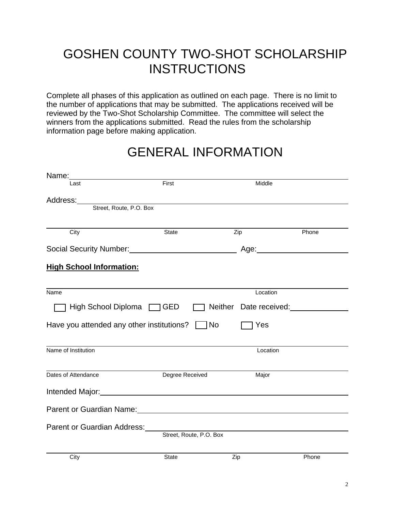# GOSHEN COUNTY TWO-SHOT SCHOLARSHIP **INSTRUCTIONS**

Complete all phases of this application as outlined on each page. There is no limit to the number of applications that may be submitted. The applications received will be reviewed by the Two-Shot Scholarship Committee. The committee will select the winners from the applications submitted. Read the rules from the scholarship information page before making application.

## GENERAL INFORMATION

| Last                            | First                                                                                                           | Middle                        |       |
|---------------------------------|-----------------------------------------------------------------------------------------------------------------|-------------------------------|-------|
|                                 |                                                                                                                 |                               |       |
| Street, Route, P.O. Box         |                                                                                                                 |                               |       |
|                                 |                                                                                                                 |                               |       |
| City                            | State                                                                                                           | Zip                           | Phone |
|                                 | Social Security Number:<br><u> Social Security Number:</u>                                                      |                               |       |
| <b>High School Information:</b> |                                                                                                                 |                               |       |
|                                 |                                                                                                                 |                               |       |
| <b>Name</b>                     |                                                                                                                 | Location                      |       |
| High School Diploma IC GED      |                                                                                                                 | $\Box$ Neither Date received: |       |
|                                 | Have you attended any other institutions? $\Box$ No                                                             | Yes                           |       |
|                                 |                                                                                                                 |                               |       |
| Name of Institution             |                                                                                                                 | Location                      |       |
|                                 |                                                                                                                 |                               |       |
| Dates of Attendance             | Degree Received                                                                                                 | Major                         |       |
|                                 | Intended Major:<br><u> Intended</u> Major:                                                                      |                               |       |
|                                 | Parent or Guardian Name: Name: Name and Allen Manual Annual Allen Manual Annual Allen Manual Allen Manual Allen |                               |       |
|                                 | Parent or Guardian Address: National Accounts and Address and Accounts are also been accounted as a set of the  |                               |       |
|                                 | Street, Route, P.O. Box                                                                                         |                               |       |
|                                 |                                                                                                                 |                               |       |
| City                            | <b>State</b>                                                                                                    | Zip                           | Phone |